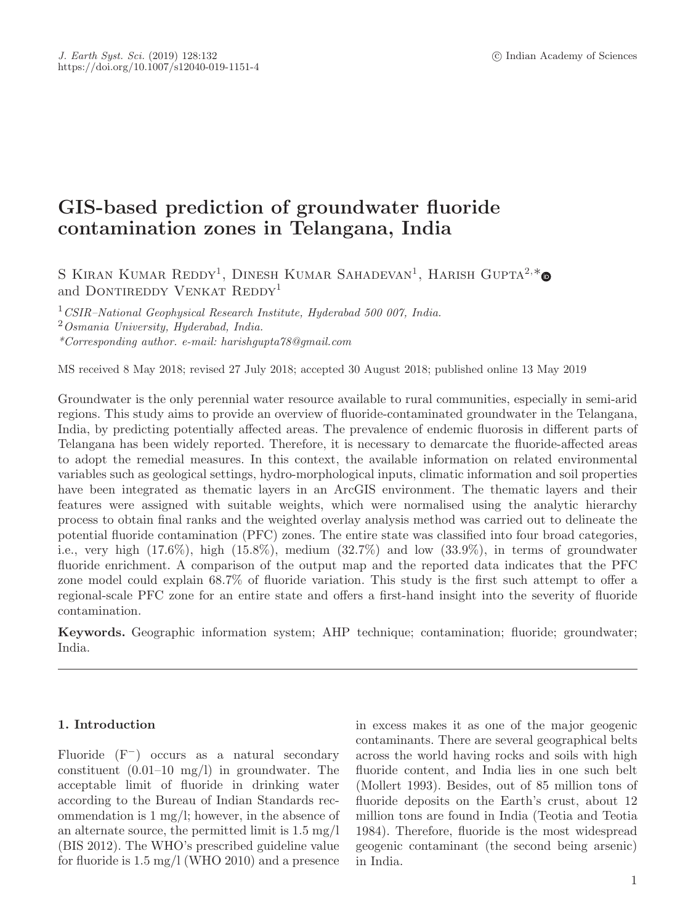# **GIS-based prediction of groundwater fluoride contamination zones in Telangana, India**

S KIRAN KUMAR REDDY<sup>1</sup>, DINESH KUMAR SAHADEVAN<sup>1</sup>, HARISH GUPTA<sup>2,\*</sup> and DONTIREDDY VENKAT REDDY<sup>1</sup>

<sup>1</sup>*CSIR–National Geophysical Research Institute, Hyderabad 500 007, India.*

<sup>2</sup>*Osmania University, Hyderabad, India.*

*\*Corresponding author. e-mail: harishgupta78@gmail.com*

MS received 8 May 2018; revised 27 July 2018; accepted 30 August 2018; published online 13 May 2019

Groundwater is the only perennial water resource available to rural communities, especially in semi-arid regions. This study aims to provide an overview of fluoride-contaminated groundwater in the Telangana, India, by predicting potentially affected areas. The prevalence of endemic fluorosis in different parts of Telangana has been widely reported. Therefore, it is necessary to demarcate the fluoride-affected areas to adopt the remedial measures. In this context, the available information on related environmental variables such as geological settings, hydro-morphological inputs, climatic information and soil properties have been integrated as thematic layers in an ArcGIS environment. The thematic layers and their features were assigned with suitable weights, which were normalised using the analytic hierarchy process to obtain final ranks and the weighted overlay analysis method was carried out to delineate the potential fluoride contamination (PFC) zones. The entire state was classified into four broad categories, i.e., very high  $(17.6\%)$ , high  $(15.8\%)$ , medium  $(32.7\%)$  and low  $(33.9\%)$ , in terms of groundwater fluoride enrichment. A comparison of the output map and the reported data indicates that the PFC zone model could explain 68.7% of fluoride variation. This study is the first such attempt to offer a regional-scale PFC zone for an entire state and offers a first-hand insight into the severity of fluoride contamination.

**Keywords.** Geographic information system; AHP technique; contamination; fluoride; groundwater; India.

# **1. Introduction**

Fluoride (F−) occurs as a natural secondary constituent (0.01–10 mg/l) in groundwater. The acceptable limit of fluoride in drinking water according to the Bureau of Indian Standards recommendation is 1 mg/l; however, in the absence of an alternate source, the permitted limit is 1.5 mg/l (BIS 2012). The WHO's prescribed guideline value for fluoride is 1.5 mg/l (WHO 2010) and a presence in excess makes it as one of the major geogenic contaminants. There are several geographical belts across the world having rocks and soils with high fluoride content, and India lies in one such belt (Mollert 1993). Besides, out of 85 million tons of fluoride deposits on the Earth's crust, about 12 million tons are found in India (Teotia and Teotia 1984). Therefore, fluoride is the most widespread geogenic contaminant (the second being arsenic) in India.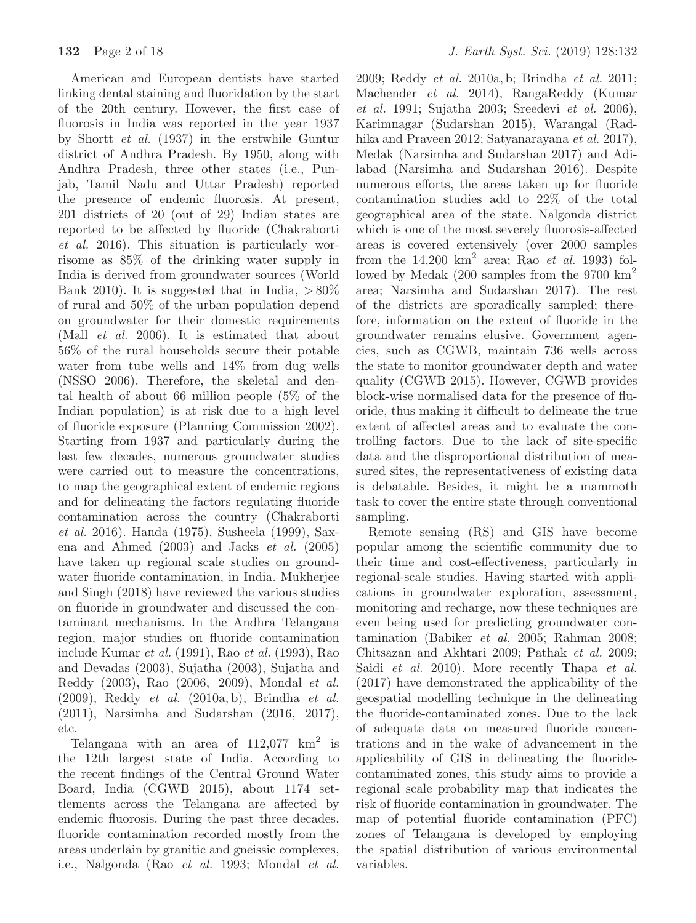American and European dentists have started linking dental staining and fluoridation by the start of the 20th century. However, the first case of fluorosis in India was reported in the year 1937 by Shortt *et al.* (1937) in the erstwhile Guntur district of Andhra Pradesh. By 1950, along with Andhra Pradesh, three other states (i.e., Punjab, Tamil Nadu and Uttar Pradesh) reported the presence of endemic fluorosis. At present, 201 districts of 20 (out of 29) Indian states are reported to be affected by fluoride (Chakraborti *et al.* 2016). This situation is particularly worrisome as 85% of the drinking water supply in India is derived from groundwater sources (World Bank 2010). It is suggested that in India,  $>80\%$ of rural and 50% of the urban population depend on groundwater for their domestic requirements (Mall *et al.* 2006). It is estimated that about 56% of the rural households secure their potable water from tube wells and 14% from dug wells (NSSO 2006). Therefore, the skeletal and dental health of about 66 million people (5% of the Indian population) is at risk due to a high level of fluoride exposure (Planning Commission 2002). Starting from 1937 and particularly during the last few decades, numerous groundwater studies were carried out to measure the concentrations, to map the geographical extent of endemic regions and for delineating the factors regulating fluoride contamination across the country (Chakraborti *et al.* 2016). Handa (1975), Susheela (1999), Saxena and Ahmed (2003) and Jacks *et al.* (2005) have taken up regional scale studies on groundwater fluoride contamination, in India. Mukherjee and Singh (2018) have reviewed the various studies on fluoride in groundwater and discussed the contaminant mechanisms. In the Andhra–Telangana region, major studies on fluoride contamination include Kumar *et al.* (1991), Rao *et al.* (1993), Rao and Devadas (2003), Sujatha (2003), Sujatha and Reddy (2003), Rao (2006, 2009), Mondal *et al.* (2009), Reddy *et al.* (2010a, b), Brindha *et al.* (2011), Narsimha and Sudarshan (2016, 2017), etc.

Telangana with an area of  $112,077$  km<sup>2</sup> is the 12th largest state of India. According to the recent findings of the Central Ground Water Board, India (CGWB 2015), about 1174 settlements across the Telangana are affected by endemic fluorosis. During the past three decades, fluoride−contamination recorded mostly from the areas underlain by granitic and gneissic complexes, i.e., Nalgonda (Rao *et al.* 1993; Mondal *et al.* 2009; Reddy *et al.* 2010a, b; Brindha *et al.* 2011; Machender *et al.* 2014), RangaReddy (Kumar *et al.* 1991; Sujatha 2003; Sreedevi *et al.* 2006), Karimnagar (Sudarshan 2015), Warangal (Radhika and Praveen 2012; Satyanarayana *et al.* 2017), Medak (Narsimha and Sudarshan 2017) and Adilabad (Narsimha and Sudarshan 2016). Despite numerous efforts, the areas taken up for fluoride contamination studies add to 22% of the total geographical area of the state. Nalgonda district which is one of the most severely fluorosis-affected areas is covered extensively (over 2000 samples from the  $14,200 \text{ km}^2$  area; Rao *et al.* 1993) followed by Medak (200 samples from the 9700 km<sup>2</sup> area; Narsimha and Sudarshan 2017). The rest of the districts are sporadically sampled; therefore, information on the extent of fluoride in the groundwater remains elusive. Government agencies, such as CGWB, maintain 736 wells across the state to monitor groundwater depth and water quality (CGWB 2015). However, CGWB provides block-wise normalised data for the presence of fluoride, thus making it difficult to delineate the true extent of affected areas and to evaluate the controlling factors. Due to the lack of site-specific data and the disproportional distribution of measured sites, the representativeness of existing data is debatable. Besides, it might be a mammoth task to cover the entire state through conventional sampling.

Remote sensing (RS) and GIS have become popular among the scientific community due to their time and cost-effectiveness, particularly in regional-scale studies. Having started with applications in groundwater exploration, assessment, monitoring and recharge, now these techniques are even being used for predicting groundwater contamination (Babiker *et al.* 2005; Rahman 2008; Chitsazan and Akhtari 2009; Pathak *et al.* 2009; Saidi *et al.* 2010). More recently Thapa *et al.* (2017) have demonstrated the applicability of the geospatial modelling technique in the delineating the fluoride-contaminated zones. Due to the lack of adequate data on measured fluoride concentrations and in the wake of advancement in the applicability of GIS in delineating the fluoridecontaminated zones, this study aims to provide a regional scale probability map that indicates the risk of fluoride contamination in groundwater. The map of potential fluoride contamination (PFC) zones of Telangana is developed by employing the spatial distribution of various environmental variables.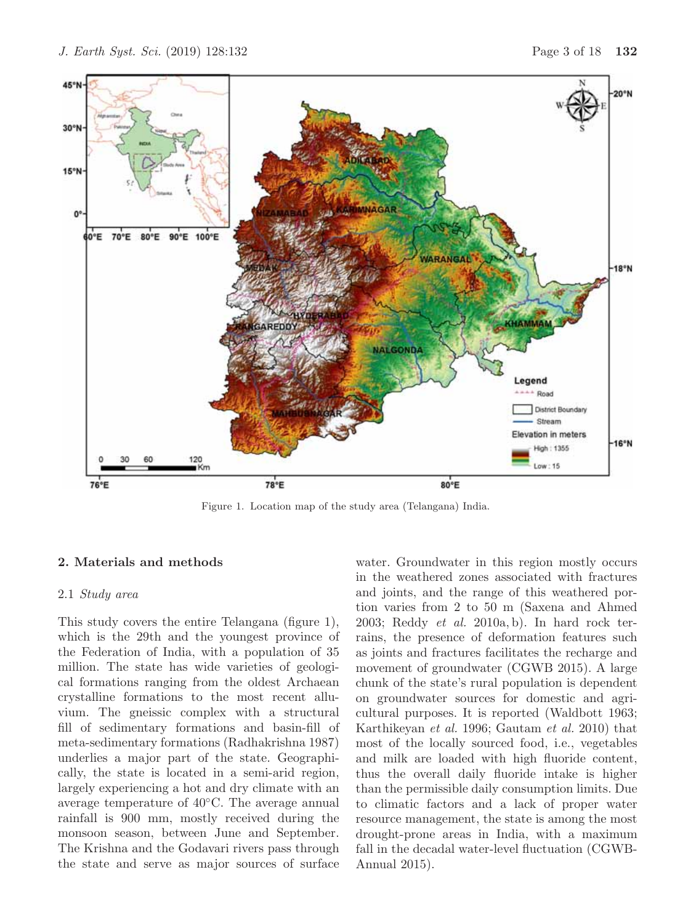

Figure 1. Location map of the study area (Telangana) India.

# **2. Materials and methods**

### 2.1 *Study area*

This study covers the entire Telangana (figure 1), which is the 29th and the youngest province of the Federation of India, with a population of 35 million. The state has wide varieties of geological formations ranging from the oldest Archaean crystalline formations to the most recent alluvium. The gneissic complex with a structural fill of sedimentary formations and basin-fill of meta-sedimentary formations (Radhakrishna 1987) underlies a major part of the state. Geographically, the state is located in a semi-arid region, largely experiencing a hot and dry climate with an average temperature of 40◦C. The average annual rainfall is 900 mm, mostly received during the monsoon season, between June and September. The Krishna and the Godavari rivers pass through the state and serve as major sources of surface water. Groundwater in this region mostly occurs in the weathered zones associated with fractures and joints, and the range of this weathered portion varies from 2 to 50 m (Saxena and Ahmed 2003; Reddy *et al.* 2010a, b). In hard rock terrains, the presence of deformation features such as joints and fractures facilitates the recharge and movement of groundwater (CGWB 2015). A large chunk of the state's rural population is dependent on groundwater sources for domestic and agricultural purposes. It is reported (Waldbott 1963; Karthikeyan *et al.* 1996; Gautam *et al.* 2010) that most of the locally sourced food, i.e., vegetables and milk are loaded with high fluoride content, thus the overall daily fluoride intake is higher than the permissible daily consumption limits. Due to climatic factors and a lack of proper water resource management, the state is among the most drought-prone areas in India, with a maximum fall in the decadal water-level fluctuation (CGWB-Annual 2015).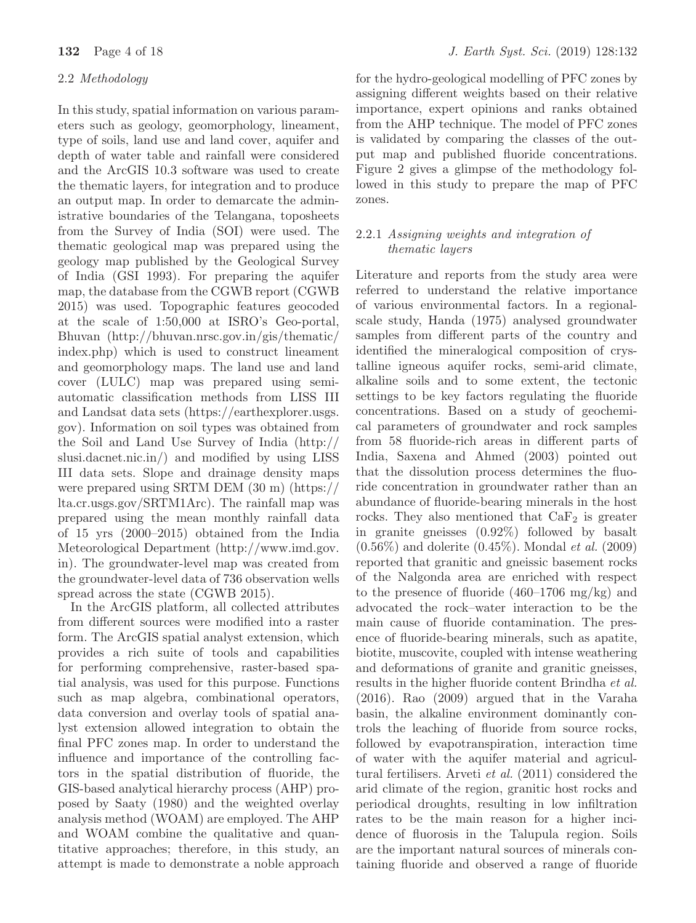# 2.2 *Methodology*

In this study, spatial information on various parameters such as geology, geomorphology, lineament, type of soils, land use and land cover, aquifer and depth of water table and rainfall were considered and the ArcGIS 10.3 software was used to create the thematic layers, for integration and to produce an output map. In order to demarcate the administrative boundaries of the Telangana, toposheets from the Survey of India (SOI) were used. The thematic geological map was prepared using the geology map published by the Geological Survey of India (GSI 1993). For preparing the aquifer map, the database from the CGWB report (CGWB 2015) was used. Topographic features geocoded at the scale of 1:50,000 at ISRO's Geo-portal, Bhuvan (http://bhuvan.nrsc.gov.in/gis/thematic/ index.php) which is used to construct lineament and geomorphology maps. The land use and land cover (LULC) map was prepared using semiautomatic classification methods from LISS III and Landsat data sets (https://earthexplorer.usgs. gov). Information on soil types was obtained from the Soil and Land Use Survey of India (http:// slusi.dacnet.nic.in/) and modified by using LISS III data sets. Slope and drainage density maps were prepared using SRTM DEM (30 m) (https:// lta.cr.usgs.gov/SRTM1Arc). The rainfall map was prepared using the mean monthly rainfall data of 15 yrs (2000–2015) obtained from the India Meteorological Department (http://www.imd.gov. in). The groundwater-level map was created from the groundwater-level data of 736 observation wells spread across the state (CGWB 2015).

In the ArcGIS platform, all collected attributes from different sources were modified into a raster form. The ArcGIS spatial analyst extension, which provides a rich suite of tools and capabilities for performing comprehensive, raster-based spatial analysis, was used for this purpose. Functions such as map algebra, combinational operators, data conversion and overlay tools of spatial analyst extension allowed integration to obtain the final PFC zones map. In order to understand the influence and importance of the controlling factors in the spatial distribution of fluoride, the GIS-based analytical hierarchy process (AHP) proposed by Saaty (1980) and the weighted overlay analysis method (WOAM) are employed. The AHP and WOAM combine the qualitative and quantitative approaches; therefore, in this study, an attempt is made to demonstrate a noble approach

for the hydro-geological modelling of PFC zones by assigning different weights based on their relative importance, expert opinions and ranks obtained from the AHP technique. The model of PFC zones is validated by comparing the classes of the output map and published fluoride concentrations. Figure 2 gives a glimpse of the methodology followed in this study to prepare the map of PFC zones.

# 2.2.1 *Assigning weights and integration of thematic layers*

Literature and reports from the study area were referred to understand the relative importance of various environmental factors. In a regionalscale study, Handa (1975) analysed groundwater samples from different parts of the country and identified the mineralogical composition of crystalline igneous aquifer rocks, semi-arid climate, alkaline soils and to some extent, the tectonic settings to be key factors regulating the fluoride concentrations. Based on a study of geochemical parameters of groundwater and rock samples from 58 fluoride-rich areas in different parts of India, Saxena and Ahmed (2003) pointed out that the dissolution process determines the fluoride concentration in groundwater rather than an abundance of fluoride-bearing minerals in the host rocks. They also mentioned that  $CaF<sub>2</sub>$  is greater in granite gneisses (0.92%) followed by basalt (0.56%) and dolerite (0.45%). Mondal *et al.* (2009) reported that granitic and gneissic basement rocks of the Nalgonda area are enriched with respect to the presence of fluoride (460–1706 mg/kg) and advocated the rock–water interaction to be the main cause of fluoride contamination. The presence of fluoride-bearing minerals, such as apatite, biotite, muscovite, coupled with intense weathering and deformations of granite and granitic gneisses, results in the higher fluoride content Brindha *et al.* (2016). Rao (2009) argued that in the Varaha basin, the alkaline environment dominantly controls the leaching of fluoride from source rocks, followed by evapotranspiration, interaction time of water with the aquifer material and agricultural fertilisers. Arveti *et al.* (2011) considered the arid climate of the region, granitic host rocks and periodical droughts, resulting in low infiltration rates to be the main reason for a higher incidence of fluorosis in the Talupula region. Soils are the important natural sources of minerals containing fluoride and observed a range of fluoride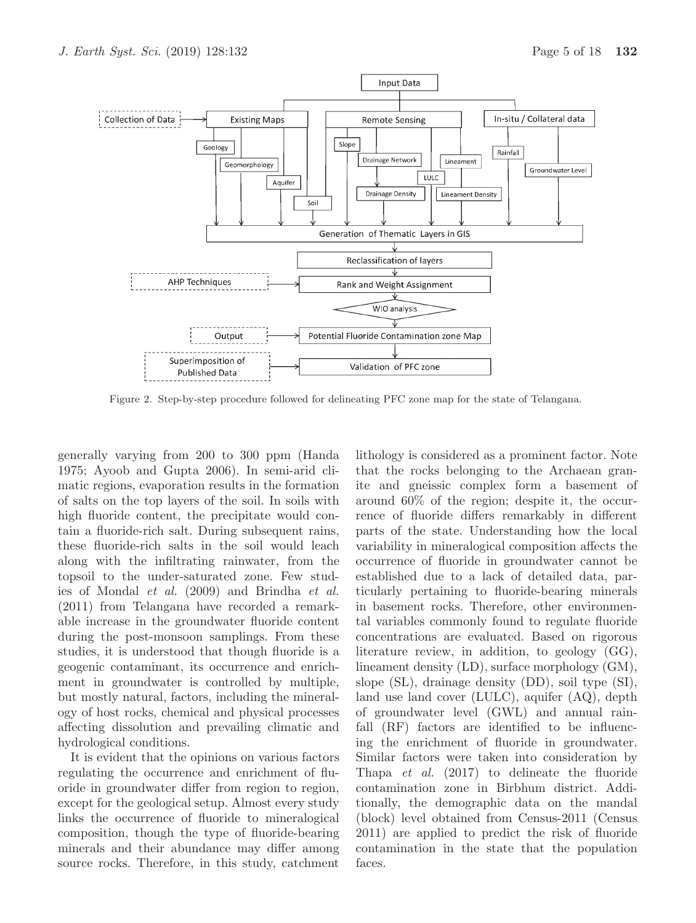

Figure 2. Step-by-step procedure followed for delineating PFC zone map for the state of Telangana.

generally varying from 200 to 300 ppm (Handa 1975; Ayoob and Gupta 2006). In semi-arid climatic regions, evaporation results in the formation of salts on the top layers of the soil. In soils with high fluoride content, the precipitate would contain a fluoride-rich salt. During subsequent rains, these fluoride-rich salts in the soil would leach along with the infiltrating rainwater, from the topsoil to the under-saturated zone. Few studies of Mondal *et al.* (2009) and Brindha *et al.* (2011) from Telangana have recorded a remarkable increase in the groundwater fluoride content during the post-monsoon samplings. From these studies, it is understood that though fluoride is a geogenic contaminant, its occurrence and enrichment in groundwater is controlled by multiple, but mostly natural, factors, including the mineralogy of host rocks, chemical and physical processes affecting dissolution and prevailing climatic and hydrological conditions.

It is evident that the opinions on various factors regulating the occurrence and enrichment of fluoride in groundwater differ from region to region, except for the geological setup. Almost every study links the occurrence of fluoride to mineralogical composition, though the type of fluoride-bearing minerals and their abundance may differ among source rocks. Therefore, in this study, catchment

lithology is considered as a prominent factor. Note that the rocks belonging to the Archaean granite and gneissic complex form a basement of around 60% of the region; despite it, the occurrence of fluoride differs remarkably in different parts of the state. Understanding how the local variability in mineralogical composition affects the occurrence of fluoride in groundwater cannot be established due to a lack of detailed data, particularly pertaining to fluoride-bearing minerals in basement rocks. Therefore, other environmental variables commonly found to regulate fluoride concentrations are evaluated. Based on rigorous literature review, in addition, to geology (GG), lineament density (LD), surface morphology (GM), slope (SL), drainage density (DD), soil type (SI), land use land cover (LULC), aquifer (AQ), depth of groundwater level (GWL) and annual rainfall (RF) factors are identified to be influencing the enrichment of fluoride in groundwater. Similar factors were taken into consideration by Thapa *et al.* (2017) to delineate the fluoride contamination zone in Birbhum district. Additionally, the demographic data on the mandal (block) level obtained from Census-2011 (Census 2011) are applied to predict the risk of fluoride contamination in the state that the population faces.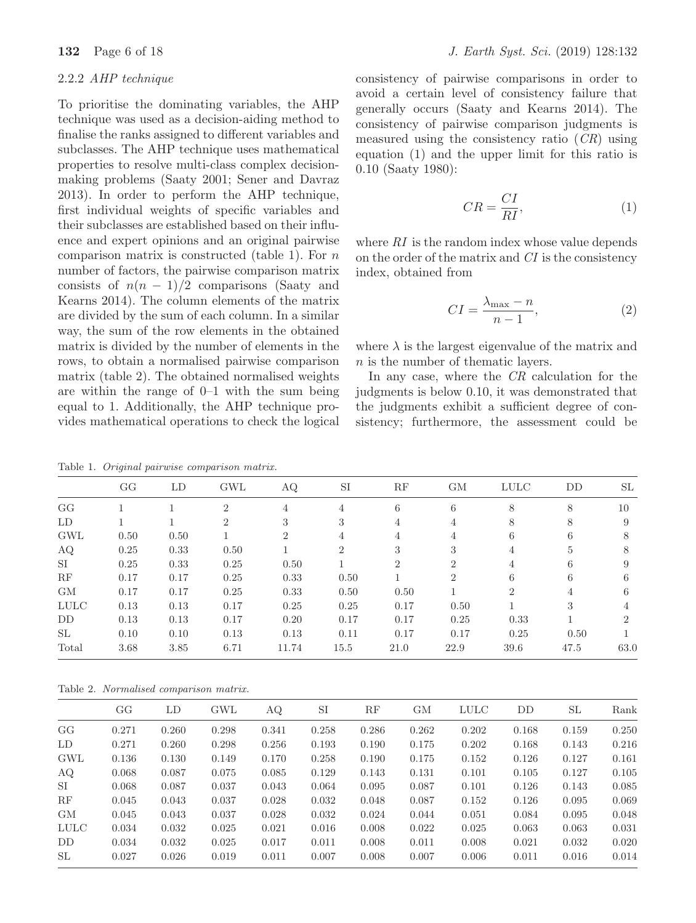# 2.2.2 *AHP technique*

To prioritise the dominating variables, the AHP technique was used as a decision-aiding method to finalise the ranks assigned to different variables and subclasses. The AHP technique uses mathematical properties to resolve multi-class complex decisionmaking problems (Saaty 2001; Sener and Davraz 2013). In order to perform the AHP technique, first individual weights of specific variables and their subclasses are established based on their influence and expert opinions and an original pairwise comparison matrix is constructed (table 1). For  $n$ number of factors, the pairwise comparison matrix consists of  $n(n-1)/2$  comparisons (Saaty and Kearns 2014). The column elements of the matrix are divided by the sum of each column. In a similar way, the sum of the row elements in the obtained matrix is divided by the number of elements in the rows, to obtain a normalised pairwise comparison matrix (table 2). The obtained normalised weights are within the range of 0–1 with the sum being equal to 1. Additionally, the AHP technique provides mathematical operations to check the logical

**132** Page 6 of 18 *J. Earth Syst. Sci.* (2019) 128:132

consistency of pairwise comparisons in order to avoid a certain level of consistency failure that generally occurs (Saaty and Kearns 2014). The consistency of pairwise comparison judgments is measured using the consistency ratio (*CR*) using equation (1) and the upper limit for this ratio is 0.10 (Saaty 1980):

$$
CR = \frac{CI}{RI},\tag{1}
$$

where *RI* is the random index whose value depends on the order of the matrix and *CI* is the consistency index, obtained from

$$
CI = \frac{\lambda_{\text{max}} - n}{n - 1},\tag{2}
$$

where  $\lambda$  is the largest eigenvalue of the matrix and n is the number of thematic layers.

In any case, where the *CR* calculation for the judgments is below 0.10, it was demonstrated that the judgments exhibit a sufficient degree of consistency; furthermore, the assessment could be

Table 1. Original pairwise comparison matrix.

|             | GG   | LD   | GWL            | AQ             | SI             | RF             | GM             | <b>LULC</b>    | DD   | SL             |
|-------------|------|------|----------------|----------------|----------------|----------------|----------------|----------------|------|----------------|
| GG          |      |      | $\overline{2}$ | 4              | 4              | 6              | 6              | 8              | 8    | 10             |
| LD.         |      |      | $\overline{2}$ | 3              | 3              | 4              | 4              | 8              | 8    | 9              |
| <b>GWL</b>  | 0.50 | 0.50 |                | $\overline{2}$ | 4              | 4              | 4              | 6              | 6    | 8              |
| AQ          | 0.25 | 0.33 | 0.50           |                | $\overline{2}$ | 3              | 3              | 4              | 5    | 8              |
| SI          | 0.25 | 0.33 | 0.25           | 0.50           |                | $\overline{2}$ | $\overline{2}$ | 4              | 6    | 9              |
| RF          | 0.17 | 0.17 | 0.25           | 0.33           | 0.50           |                | $\overline{2}$ | 6              | 6    | 6              |
| GM          | 0.17 | 0.17 | 0.25           | 0.33           | 0.50           | 0.50           |                | $\overline{2}$ | 4    | 6              |
| <b>LULC</b> | 0.13 | 0.13 | 0.17           | 0.25           | 0.25           | 0.17           | 0.50           |                | 3    | 4              |
| DD          | 0.13 | 0.13 | 0.17           | 0.20           | 0.17           | 0.17           | 0.25           | 0.33           |      | $\overline{2}$ |
| SL          | 0.10 | 0.10 | 0.13           | 0.13           | 0.11           | 0.17           | 0.17           | 0.25           | 0.50 |                |
| Total       | 3.68 | 3.85 | 6.71           | 11.74          | 15.5           | 21.0           | 22.9           | 39.6           | 47.5 | 63.0           |
|             |      |      |                |                |                |                |                |                |      |                |

Table 2. Normalised comparison matrix.

|             | GG    | LD    | GWL   | ΑQ    | $_{\rm SI}$ | RF    | GМ    | <b>LULC</b> | DD    | SL    | Rank  |
|-------------|-------|-------|-------|-------|-------------|-------|-------|-------------|-------|-------|-------|
| GG          | 0.271 | 0.260 | 0.298 | 0.341 | 0.258       | 0.286 | 0.262 | 0.202       | 0.168 | 0.159 | 0.250 |
| LD          | 0.271 | 0.260 | 0.298 | 0.256 | 0.193       | 0.190 | 0.175 | 0.202       | 0.168 | 0.143 | 0.216 |
| <b>GWL</b>  | 0.136 | 0.130 | 0.149 | 0.170 | 0.258       | 0.190 | 0.175 | 0.152       | 0.126 | 0.127 | 0.161 |
| AQ          | 0.068 | 0.087 | 0.075 | 0.085 | 0.129       | 0.143 | 0.131 | 0.101       | 0.105 | 0.127 | 0.105 |
| SI          | 0.068 | 0.087 | 0.037 | 0.043 | 0.064       | 0.095 | 0.087 | 0.101       | 0.126 | 0.143 | 0.085 |
| RF          | 0.045 | 0.043 | 0.037 | 0.028 | 0.032       | 0.048 | 0.087 | 0.152       | 0.126 | 0.095 | 0.069 |
| GМ          | 0.045 | 0.043 | 0.037 | 0.028 | 0.032       | 0.024 | 0.044 | 0.051       | 0.084 | 0.095 | 0.048 |
| <b>LULC</b> | 0.034 | 0.032 | 0.025 | 0.021 | 0.016       | 0.008 | 0.022 | 0.025       | 0.063 | 0.063 | 0.031 |
| DD          | 0.034 | 0.032 | 0.025 | 0.017 | 0.011       | 0.008 | 0.011 | 0.008       | 0.021 | 0.032 | 0.020 |
| SL          | 0.027 | 0.026 | 0.019 | 0.011 | 0.007       | 0.008 | 0.007 | 0.006       | 0.011 | 0.016 | 0.014 |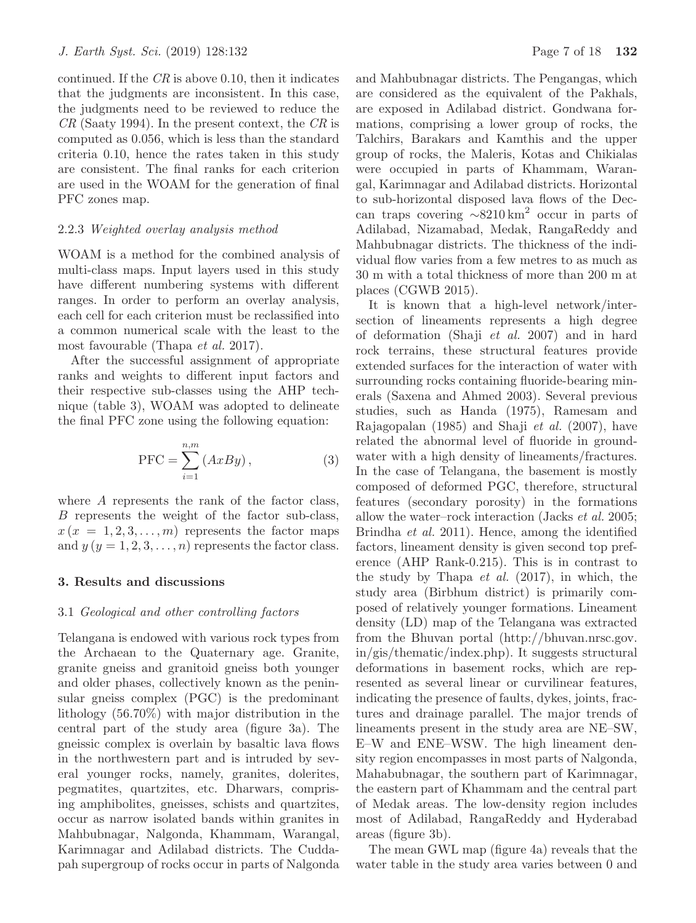continued. If the *CR* is above 0.10, then it indicates that the judgments are inconsistent. In this case, the judgments need to be reviewed to reduce the *CR* (Saaty 1994). In the present context, the *CR* is computed as 0.056, which is less than the standard criteria 0.10, hence the rates taken in this study are consistent. The final ranks for each criterion are used in the WOAM for the generation of final PFC zones map.

### 2.2.3 *Weighted overlay analysis method*

WOAM is a method for the combined analysis of multi-class maps. Input layers used in this study have different numbering systems with different ranges. In order to perform an overlay analysis, each cell for each criterion must be reclassified into a common numerical scale with the least to the most favourable (Thapa *et al.* 2017).

After the successful assignment of appropriate ranks and weights to different input factors and their respective sub-classes using the AHP technique (table 3), WOAM was adopted to delineate the final PFC zone using the following equation:

$$
PFC = \sum_{i=1}^{n,m} (AxBy), \qquad (3)
$$

where A represents the rank of the factor class, B represents the weight of the factor sub-class,  $x (x = 1, 2, 3, \ldots, m)$  represents the factor maps and  $y (y = 1, 2, 3, \ldots, n)$  represents the factor class.

# **3. Results and discussions**

### 3.1 *Geological and other controlling factors*

Telangana is endowed with various rock types from the Archaean to the Quaternary age. Granite, granite gneiss and granitoid gneiss both younger and older phases, collectively known as the peninsular gneiss complex (PGC) is the predominant lithology (56.70%) with major distribution in the central part of the study area (figure 3a). The gneissic complex is overlain by basaltic lava flows in the northwestern part and is intruded by several younger rocks, namely, granites, dolerites, pegmatites, quartzites, etc. Dharwars, comprising amphibolites, gneisses, schists and quartzites, occur as narrow isolated bands within granites in Mahbubnagar, Nalgonda, Khammam, Warangal, Karimnagar and Adilabad districts. The Cuddapah supergroup of rocks occur in parts of Nalgonda and Mahbubnagar districts. The Pengangas, which are considered as the equivalent of the Pakhals, are exposed in Adilabad district. Gondwana formations, comprising a lower group of rocks, the Talchirs, Barakars and Kamthis and the upper group of rocks, the Maleris, Kotas and Chikialas were occupied in parts of Khammam, Warangal, Karimnagar and Adilabad districts. Horizontal to sub-horizontal disposed lava flows of the Deccan traps covering  $\sim 8210 \text{ km}^2$  occur in parts of Adilabad, Nizamabad, Medak, RangaReddy and Mahbubnagar districts. The thickness of the individual flow varies from a few metres to as much as 30 m with a total thickness of more than 200 m at places (CGWB 2015).

It is known that a high-level network/intersection of lineaments represents a high degree of deformation (Shaji *et al.* 2007) and in hard rock terrains, these structural features provide extended surfaces for the interaction of water with surrounding rocks containing fluoride-bearing minerals (Saxena and Ahmed 2003). Several previous studies, such as Handa (1975), Ramesam and Rajagopalan (1985) and Shaji *et al.* (2007), have related the abnormal level of fluoride in groundwater with a high density of lineaments/fractures. In the case of Telangana, the basement is mostly composed of deformed PGC, therefore, structural features (secondary porosity) in the formations allow the water–rock interaction (Jacks *et al.* 2005; Brindha *et al.* 2011). Hence, among the identified factors, lineament density is given second top preference (AHP Rank-0.215). This is in contrast to the study by Thapa *et al.* (2017), in which, the study area (Birbhum district) is primarily composed of relatively younger formations. Lineament density (LD) map of the Telangana was extracted from the Bhuvan portal (http://bhuvan.nrsc.gov. in/gis/thematic/index.php). It suggests structural deformations in basement rocks, which are represented as several linear or curvilinear features, indicating the presence of faults, dykes, joints, fractures and drainage parallel. The major trends of lineaments present in the study area are NE–SW, E–W and ENE–WSW. The high lineament density region encompasses in most parts of Nalgonda, Mahabubnagar, the southern part of Karimnagar, the eastern part of Khammam and the central part of Medak areas. The low-density region includes most of Adilabad, RangaReddy and Hyderabad areas (figure 3b).

The mean GWL map (figure 4a) reveals that the water table in the study area varies between 0 and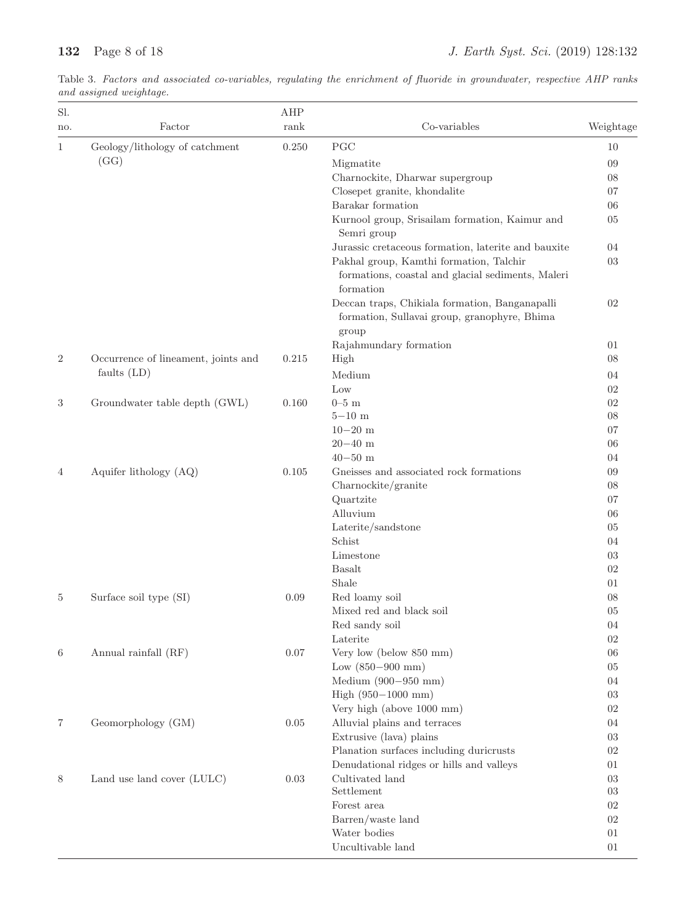| Sl.            |                                     | AHP   |                                                                |           |
|----------------|-------------------------------------|-------|----------------------------------------------------------------|-----------|
| no.            | Factor                              | rank  | Co-variables                                                   | Weightage |
| 1              | Geology/lithology of catchment      | 0.250 | PGC                                                            | 10        |
|                | (GG)                                |       | Migmatite                                                      | 09        |
|                |                                     |       | Charnockite, Dharwar supergroup                                | 08        |
|                |                                     |       | Closepet granite, khondalite                                   | 07        |
|                |                                     |       | Barakar formation                                              | 06        |
|                |                                     |       | Kurnool group, Srisailam formation, Kaimur and                 | 05        |
|                |                                     |       | Semri group                                                    |           |
|                |                                     |       | Jurassic cretaceous formation, laterite and bauxite            | 04        |
|                |                                     |       | Pakhal group, Kamthi formation, Talchir                        | 03        |
|                |                                     |       | formations, coastal and glacial sediments, Maleri<br>formation |           |
|                |                                     |       | Deccan traps, Chikiala formation, Banganapalli                 | 02        |
|                |                                     |       | formation, Sullavai group, granophyre, Bhima                   |           |
|                |                                     |       | group                                                          |           |
|                |                                     |       | Rajahmundary formation                                         | 01        |
| $\overline{2}$ | Occurrence of lineament, joints and | 0.215 | High                                                           | 08        |
|                | faults $(LD)$                       |       |                                                                |           |
|                |                                     |       | Medium                                                         | 04        |
|                |                                     |       | Low                                                            | 02        |
| $\sqrt{3}$     | Groundwater table depth (GWL)       | 0.160 | $0-5$ m                                                        | $02\,$    |
|                |                                     |       | $5-10$ m                                                       | 08        |
|                |                                     |       | $10 - 20$ m                                                    | 07        |
|                |                                     |       | $20 - 40$ m                                                    | 06        |
|                |                                     |       | $40 - 50$ m                                                    | 04        |
| $\overline{4}$ | Aquifer lithology (AQ)              | 0.105 | Gneisses and associated rock formations                        | 09        |
|                |                                     |       | Charnockite/granite                                            | 08        |
|                |                                     |       | Quartzite                                                      | 07        |
|                |                                     |       | Alluvium                                                       | 06        |
|                |                                     |       | Laterite/sandstone                                             | 05        |
|                |                                     |       | Schist                                                         | 04        |
|                |                                     |       | Limestone                                                      | 03        |
|                |                                     |       | <b>Basalt</b>                                                  | 02        |
|                |                                     |       | Shale                                                          | 01        |
| 5              | Surface soil type (SI)              | 0.09  | Red loamy soil                                                 | 08        |
|                |                                     |       | Mixed red and black soil                                       | 05        |
|                |                                     |       | Red sandy soil                                                 | 04        |
|                |                                     |       | Laterite                                                       | 02        |
| 6              | Annual rainfall (RF)                | 0.07  | Very low (below 850 mm)                                        | 06        |
|                |                                     |       | Low $(850-900$ mm)                                             | 05        |
|                |                                     |       | Medium $(900 - 950$ mm)                                        | 04        |
|                |                                     |       | High $(950-1000$ mm)                                           | 03        |
|                |                                     |       | Very high (above 1000 mm)                                      | 02        |
| 7              | Geomorphology (GM)                  | 0.05  | Alluvial plains and terraces                                   | 04        |
|                |                                     |       | Extrusive (lava) plains                                        | 03        |
|                |                                     |       | Planation surfaces including duricrusts                        | 02        |
|                |                                     |       | Denudational ridges or hills and valleys                       | 01        |
| 8              | Land use land cover (LULC)          | 0.03  | Cultivated land                                                | 03        |
|                |                                     |       | Settlement                                                     | 03        |
|                |                                     |       | Forest area                                                    | 02        |
|                |                                     |       | Barren/waste land                                              | $02\,$    |
|                |                                     |       | Water bodies                                                   | 01        |
|                |                                     |       | Uncultivable land                                              | 01        |

Table 3. Factors and associated co-variables, regulating the enrichment of fluoride in groundwater, respective AHP ranks and assigned weightage.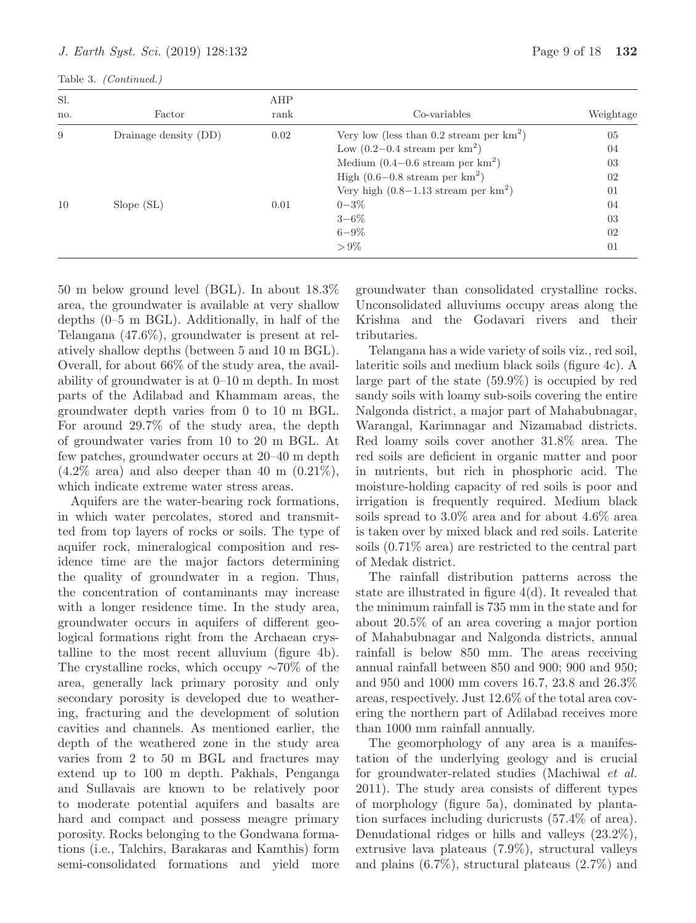Table 3. (Continued.)

| Sl. |                       | AHP  |                                                |           |
|-----|-----------------------|------|------------------------------------------------|-----------|
| no. | Factor                | rank | Co-variables                                   | Weightage |
| 9   | Drainage density (DD) | 0.02 | Very low (less than 0.2 stream per $km^2$ )    | 05        |
|     |                       |      | Low $(0.2-0.4 \text{ stream per km}^2)$        | 04        |
|     |                       |      | Medium $(0.4-0.6$ stream per $km^2$ )          | 03        |
|     |                       |      | High $(0.6-0.8 \text{ stream per km}^2)$       | 02        |
|     |                       |      | Very high $(0.8-1.13 \text{ stream per km}^2)$ | 01        |
| 10  | Slope(SL)             | 0.01 | $0 - 3\%$                                      | 04        |
|     |                       |      | $3 - 6\%$                                      | 03        |
|     |                       |      | $6 - 9\%$                                      | 02        |
|     |                       |      | $> 9\%$                                        | 01        |

50 m below ground level (BGL). In about 18.3% area, the groundwater is available at very shallow depths (0–5 m BGL). Additionally, in half of the Telangana (47.6%), groundwater is present at relatively shallow depths (between 5 and 10 m BGL). Overall, for about 66% of the study area, the availability of groundwater is at 0–10 m depth. In most parts of the Adilabad and Khammam areas, the groundwater depth varies from 0 to 10 m BGL. For around 29.7% of the study area, the depth of groundwater varies from 10 to 20 m BGL. At few patches, groundwater occurs at 20–40 m depth  $(4.2\% \text{ area})$  and also deeper than 40 m  $(0.21\%)$ , which indicate extreme water stress areas.

Aquifers are the water-bearing rock formations, in which water percolates, stored and transmitted from top layers of rocks or soils. The type of aquifer rock, mineralogical composition and residence time are the major factors determining the quality of groundwater in a region. Thus, the concentration of contaminants may increase with a longer residence time. In the study area, groundwater occurs in aquifers of different geological formations right from the Archaean crystalline to the most recent alluvium (figure 4b). The crystalline rocks, which occupy ∼70% of the area, generally lack primary porosity and only secondary porosity is developed due to weathering, fracturing and the development of solution cavities and channels. As mentioned earlier, the depth of the weathered zone in the study area varies from 2 to 50 m BGL and fractures may extend up to 100 m depth. Pakhals, Penganga and Sullavais are known to be relatively poor to moderate potential aquifers and basalts are hard and compact and possess meagre primary porosity. Rocks belonging to the Gondwana formations (i.e., Talchirs, Barakaras and Kamthis) form semi-consolidated formations and yield more

groundwater than consolidated crystalline rocks. Unconsolidated alluviums occupy areas along the Krishna and the Godavari rivers and their tributaries.

Telangana has a wide variety of soils viz., red soil, lateritic soils and medium black soils (figure 4c). A large part of the state (59.9%) is occupied by red sandy soils with loamy sub-soils covering the entire Nalgonda district, a major part of Mahabubnagar, Warangal, Karimnagar and Nizamabad districts. Red loamy soils cover another 31.8% area. The red soils are deficient in organic matter and poor in nutrients, but rich in phosphoric acid. The moisture-holding capacity of red soils is poor and irrigation is frequently required. Medium black soils spread to 3.0% area and for about 4.6% area is taken over by mixed black and red soils. Laterite soils (0.71% area) are restricted to the central part of Medak district.

The rainfall distribution patterns across the state are illustrated in figure 4(d). It revealed that the minimum rainfall is 735 mm in the state and for about 20.5% of an area covering a major portion of Mahabubnagar and Nalgonda districts, annual rainfall is below 850 mm. The areas receiving annual rainfall between 850 and 900; 900 and 950; and 950 and 1000 mm covers 16.7, 23.8 and 26.3% areas, respectively. Just 12.6% of the total area covering the northern part of Adilabad receives more than 1000 mm rainfall annually.

The geomorphology of any area is a manifestation of the underlying geology and is crucial for groundwater-related studies (Machiwal *et al.* 2011). The study area consists of different types of morphology (figure 5a), dominated by plantation surfaces including duricrusts (57.4% of area). Denudational ridges or hills and valleys (23.2%), extrusive lava plateaus (7.9%), structural valleys and plains (6.7%), structural plateaus (2.7%) and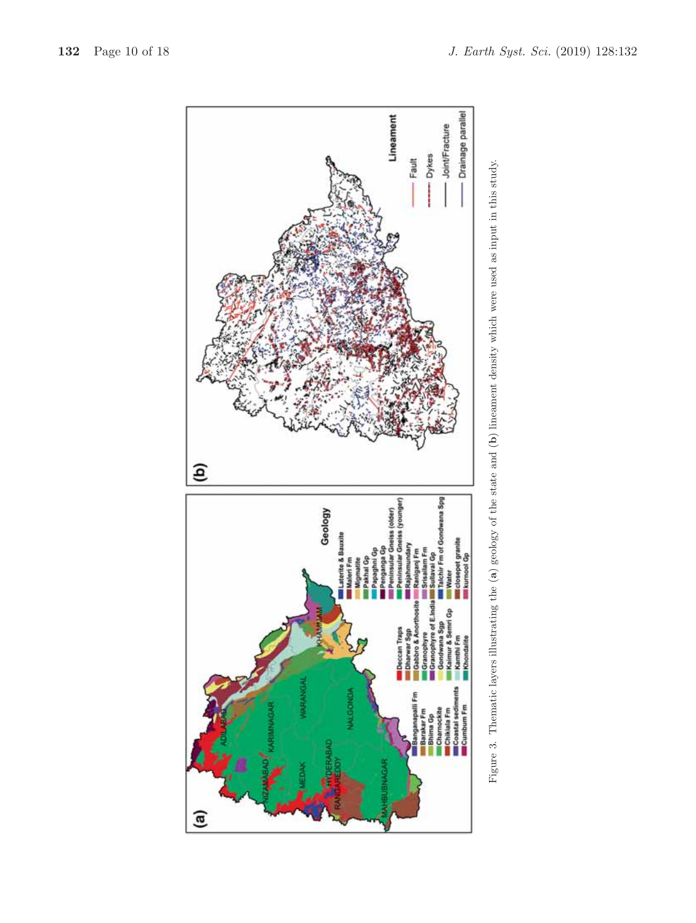

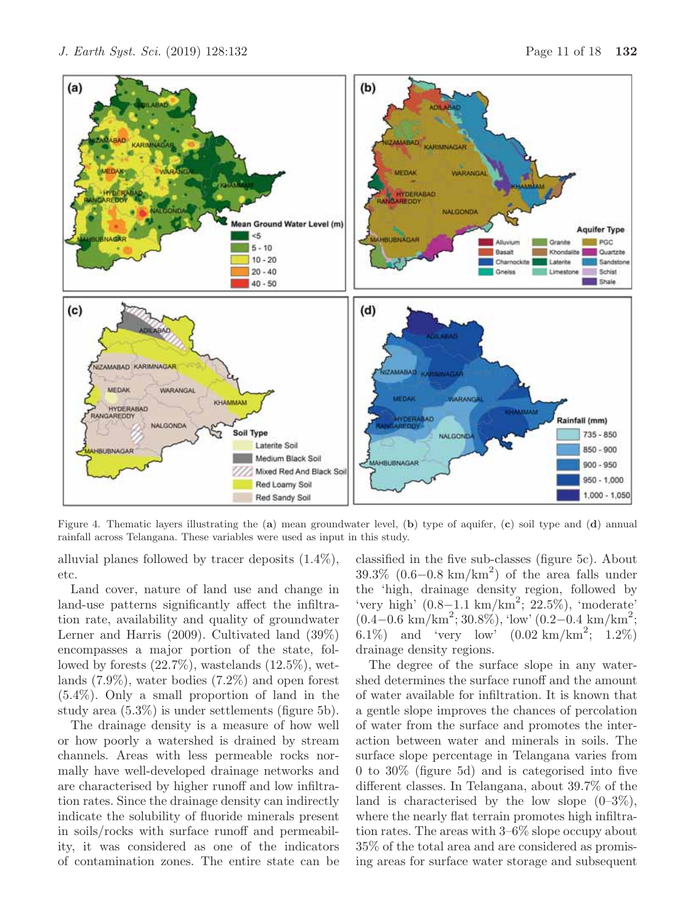etc. Land cover, nature of land use and change in land-use patterns significantly affect the infiltration rate, availability and quality of groundwater Lerner and Harris (2009). Cultivated land (39%) encompasses a major portion of the state, followed by forests  $(22.7\%)$ , wastelands  $(12.5\%)$ , wetlands (7.9%), water bodies (7.2%) and open forest (5.4%). Only a small proportion of land in the study area (5.3%) is under settlements (figure 5b).

alluvial planes followed by tracer deposits (1.4%),

The drainage density is a measure of how well or how poorly a watershed is drained by stream channels. Areas with less permeable rocks normally have well-developed drainage networks and are characterised by higher runoff and low infiltration rates. Since the drainage density can indirectly indicate the solubility of fluoride minerals present in soils/rocks with surface runoff and permeability, it was considered as one of the indicators of contamination zones. The entire state can be classified in the five sub-classes (figure 5c). About  $39.3\%$  (0.6–0.8 km/km<sup>2</sup>) of the area falls under the 'high, drainage density region, followed by 'very high' (0.8−1.1 km/km<sup>2</sup> ; 22.5%), 'moderate'  $(0.4-0.6 \text{ km/km}^2; 30.8\%),$  'low'  $(0.2-0.4 \text{ km/km}^2;$ 6.1%) and 'very low'  $(0.02 \text{ km/km}^2; 1.2\%)$ drainage density regions.

The degree of the surface slope in any watershed determines the surface runoff and the amount of water available for infiltration. It is known that a gentle slope improves the chances of percolation of water from the surface and promotes the interaction between water and minerals in soils. The surface slope percentage in Telangana varies from 0 to 30% (figure 5d) and is categorised into five different classes. In Telangana, about 39.7% of the land is characterised by the low slope  $(0-3\%)$ , where the nearly flat terrain promotes high infiltration rates. The areas with 3–6% slope occupy about 35% of the total area and are considered as promising areas for surface water storage and subsequent

rainfall across Telangana. These variables were used as input in this study.

Figure 4. Thematic layers illustrating the (**a**) mean groundwater level, (**b**) type of aquifer, (**c**) soil type and (**d**) annual

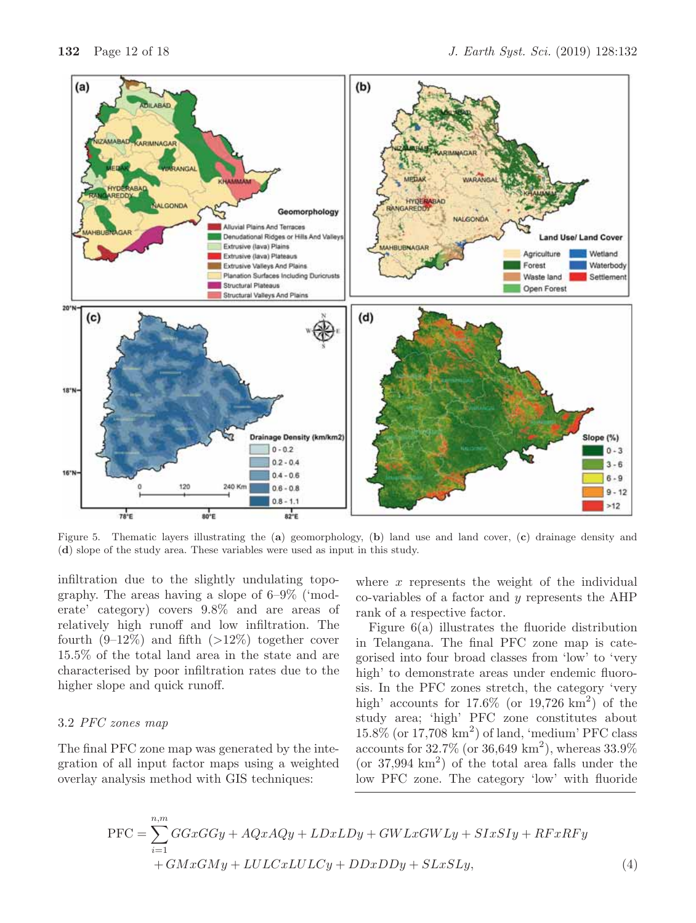

Figure 5. Thematic layers illustrating the (**a**) geomorphology, (**b**) land use and land cover, (**c**) drainage density and (**d**) slope of the study area. These variables were used as input in this study.

infiltration due to the slightly undulating topography. The areas having a slope of 6–9% ('moderate' category) covers 9.8% and are areas of relatively high runoff and low infiltration. The fourth  $(9-12\%)$  and fifth  $(>12\%)$  together cover 15.5% of the total land area in the state and are characterised by poor infiltration rates due to the higher slope and quick runoff.

### 3.2 *PFC zones map*

The final PFC zone map was generated by the integration of all input factor maps using a weighted overlay analysis method with GIS techniques:

where  $x$  represents the weight of the individual co-variables of a factor and y represents the AHP rank of a respective factor.

Figure 6(a) illustrates the fluoride distribution in Telangana. The final PFC zone map is categorised into four broad classes from 'low' to 'very high' to demonstrate areas under endemic fluorosis. In the PFC zones stretch, the category 'very high' accounts for  $17.6\%$  (or  $19,726 \text{ km}^2$ ) of the study area; 'high' PFC zone constitutes about  $15.8\%$  (or  $17,708 \text{ km}^2$ ) of land, 'medium' PFC class accounts for  $32.7\%$  (or  $36,649 \text{ km}^2$ ), whereas  $33.9\%$ (or  $37,994 \text{ km}^2$ ) of the total area falls under the low PFC zone. The category 'low' with fluoride

$$
PFC = \sum_{i=1}^{n,m} GGxGGy + AQxAQy + LDxLDy + GWLxGWLy + SIxSIy + RFxRFy + GMxGMy + LULCxLULCy + DDxDDy + SLxSLy,
$$
\n(4)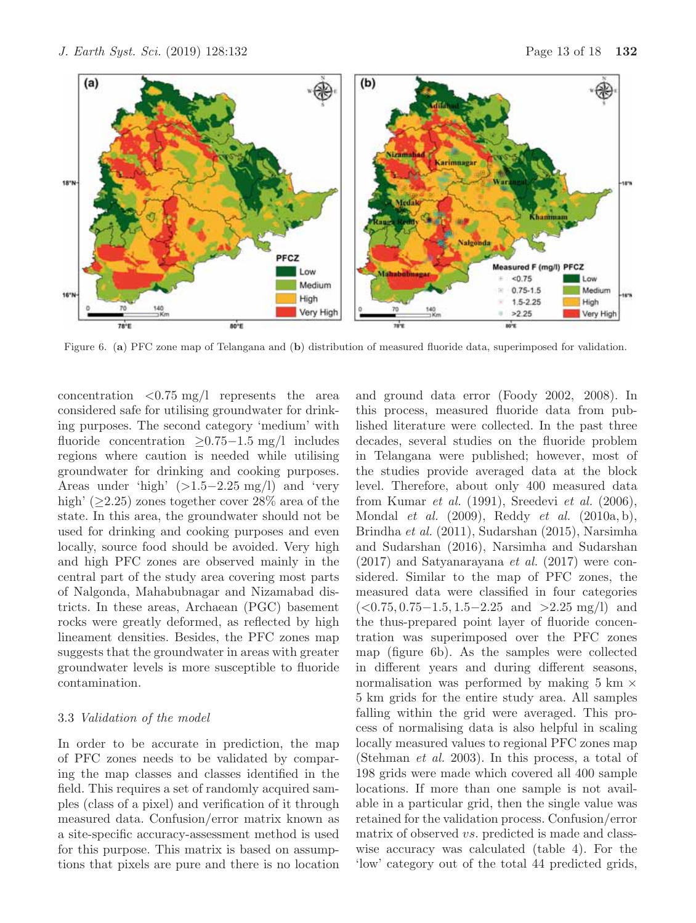

Figure 6. (**a**) PFC zone map of Telangana and (**b**) distribution of measured fluoride data, superimposed for validation.

concentration  $\langle 0.75 \text{ mg} / 1 \rangle$  represents the area considered safe for utilising groundwater for drinking purposes. The second category 'medium' with fluoride concentration ≥0.75−1.5 mg/l includes regions where caution is needed while utilising groundwater for drinking and cooking purposes. Areas under 'high'  $(>1.5-2.25 \text{ mg/l})$  and 'very high' ( $\geq$ 2.25) zones together cover 28% area of the state. In this area, the groundwater should not be used for drinking and cooking purposes and even locally, source food should be avoided. Very high and high PFC zones are observed mainly in the central part of the study area covering most parts of Nalgonda, Mahabubnagar and Nizamabad districts. In these areas, Archaean (PGC) basement rocks were greatly deformed, as reflected by high lineament densities. Besides, the PFC zones map suggests that the groundwater in areas with greater groundwater levels is more susceptible to fluoride contamination.

# 3.3 *Validation of the model*

In order to be accurate in prediction, the map of PFC zones needs to be validated by comparing the map classes and classes identified in the field. This requires a set of randomly acquired samples (class of a pixel) and verification of it through measured data. Confusion/error matrix known as a site-specific accuracy-assessment method is used for this purpose. This matrix is based on assumptions that pixels are pure and there is no location and ground data error (Foody 2002, 2008). In this process, measured fluoride data from published literature were collected. In the past three decades, several studies on the fluoride problem in Telangana were published; however, most of the studies provide averaged data at the block level. Therefore, about only 400 measured data from Kumar *et al.* (1991), Sreedevi *et al.* (2006), Mondal *et al.* (2009), Reddy *et al.* (2010a, b), Brindha *et al.* (2011), Sudarshan (2015), Narsimha and Sudarshan (2016), Narsimha and Sudarshan (2017) and Satyanarayana *et al.* (2017) were considered. Similar to the map of PFC zones, the measured data were classified in four categories  $(<0.75, 0.75-1.5, 1.5-2.25$  and  $>2.25$  mg/l) and the thus-prepared point layer of fluoride concentration was superimposed over the PFC zones map (figure 6b). As the samples were collected in different years and during different seasons, normalisation was performed by making  $5 \text{ km } \times$ 5 km grids for the entire study area. All samples falling within the grid were averaged. This process of normalising data is also helpful in scaling locally measured values to regional PFC zones map (Stehman *et al.* 2003). In this process, a total of 198 grids were made which covered all 400 sample locations. If more than one sample is not available in a particular grid, then the single value was retained for the validation process. Confusion/error matrix of observed vs. predicted is made and classwise accuracy was calculated (table 4). For the 'low' category out of the total 44 predicted grids,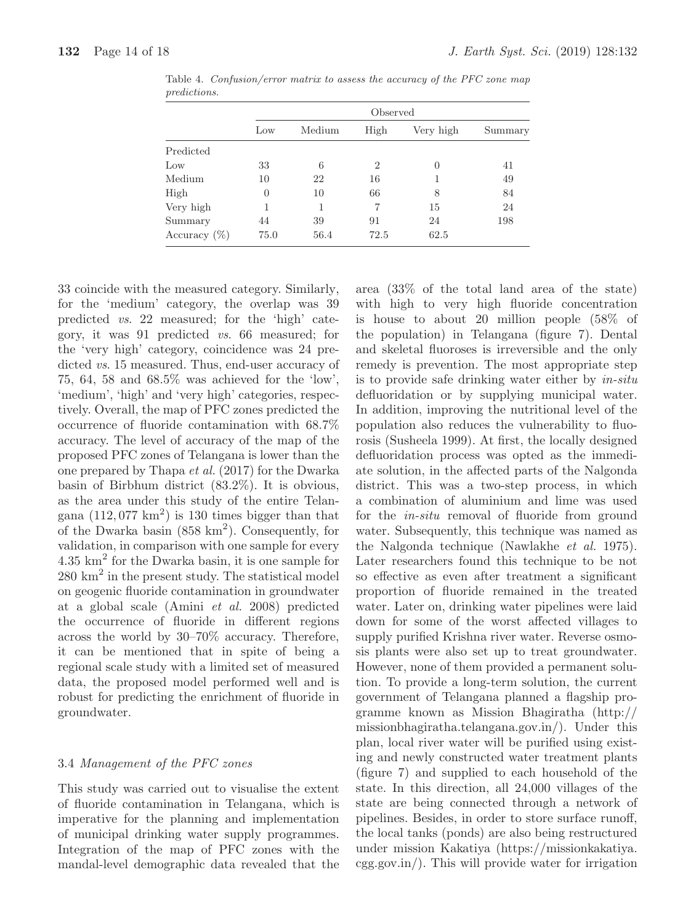|                 | Observed |        |                |           |         |  |  |  |
|-----------------|----------|--------|----------------|-----------|---------|--|--|--|
| Low             |          | Medium | High           | Very high | Summary |  |  |  |
| Predicted       |          |        |                |           |         |  |  |  |
| Low             | 33       | 6      | $\overline{2}$ | 0         | 41      |  |  |  |
| Medium          | 10       | 22     | 16             |           | 49      |  |  |  |
| High            | $\theta$ | 10     | 66             | 8         | 84      |  |  |  |
| Very high       | 1        | 1      | 7              | 15        | 24      |  |  |  |
| Summary         | 44       | 39     | 91             | 24        | 198     |  |  |  |
| Accuracy $(\%)$ | 75.0     | 56.4   | 72.5           | 62.5      |         |  |  |  |

Table 4. Confusion/error matrix to assess the accuracy of the PFC zone map predictions.

33 coincide with the measured category. Similarly, for the 'medium' category, the overlap was 39 predicted *vs*. 22 measured; for the 'high' category, it was 91 predicted *vs*. 66 measured; for the 'very high' category, coincidence was 24 predicted *vs*. 15 measured. Thus, end-user accuracy of 75, 64, 58 and 68.5% was achieved for the 'low', 'medium', 'high' and 'very high' categories, respectively. Overall, the map of PFC zones predicted the occurrence of fluoride contamination with 68.7% accuracy. The level of accuracy of the map of the proposed PFC zones of Telangana is lower than the one prepared by Thapa *et al.* (2017) for the Dwarka basin of Birbhum district (83.2%). It is obvious, as the area under this study of the entire Telangana  $(112, 077 \text{ km}^2)$  is 130 times bigger than that of the Dwarka basin  $(858 \text{ km}^2)$ . Consequently, for validation, in comparison with one sample for every 4.35 km<sup>2</sup> for the Dwarka basin, it is one sample for  $280 \text{ km}^2$  in the present study. The statistical model on geogenic fluoride contamination in groundwater at a global scale (Amini *et al.* 2008) predicted the occurrence of fluoride in different regions across the world by 30–70% accuracy. Therefore, it can be mentioned that in spite of being a regional scale study with a limited set of measured data, the proposed model performed well and is robust for predicting the enrichment of fluoride in groundwater.

# 3.4 *Management of the PFC zones*

This study was carried out to visualise the extent of fluoride contamination in Telangana, which is imperative for the planning and implementation of municipal drinking water supply programmes. Integration of the map of PFC zones with the mandal-level demographic data revealed that the area (33% of the total land area of the state) with high to very high fluoride concentration is house to about 20 million people (58% of the population) in Telangana (figure 7). Dental and skeletal fluoroses is irreversible and the only remedy is prevention. The most appropriate step is to provide safe drinking water either by *in-situ* defluoridation or by supplying municipal water. In addition, improving the nutritional level of the population also reduces the vulnerability to fluorosis (Susheela 1999). At first, the locally designed defluoridation process was opted as the immediate solution, in the affected parts of the Nalgonda district. This was a two-step process, in which a combination of aluminium and lime was used for the *in-situ* removal of fluoride from ground water. Subsequently, this technique was named as the Nalgonda technique (Nawlakhe *et al.* 1975). Later researchers found this technique to be not so effective as even after treatment a significant proportion of fluoride remained in the treated water. Later on, drinking water pipelines were laid down for some of the worst affected villages to supply purified Krishna river water. Reverse osmosis plants were also set up to treat groundwater. However, none of them provided a permanent solution. To provide a long-term solution, the current government of Telangana planned a flagship programme known as Mission Bhagiratha (http:// missionbhagiratha.telangana.gov.in/). Under this plan, local river water will be purified using existing and newly constructed water treatment plants (figure 7) and supplied to each household of the state. In this direction, all 24,000 villages of the state are being connected through a network of pipelines. Besides, in order to store surface runoff, the local tanks (ponds) are also being restructured under mission Kakatiya (https://missionkakatiya. cgg.gov.in/). This will provide water for irrigation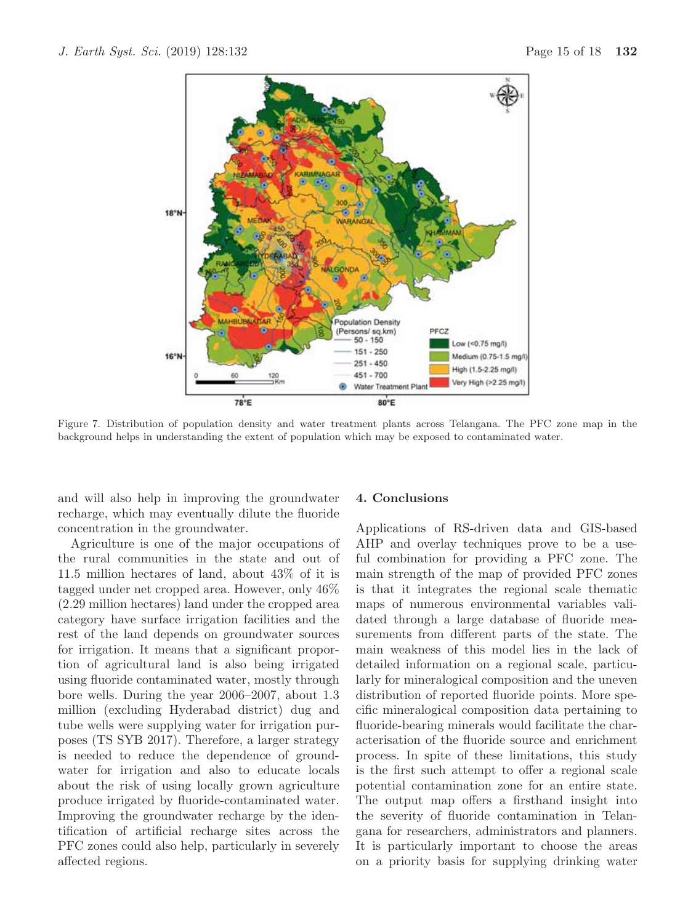

Figure 7. Distribution of population density and water treatment plants across Telangana. The PFC zone map in the background helps in understanding the extent of population which may be exposed to contaminated water.

and will also help in improving the groundwater recharge, which may eventually dilute the fluoride concentration in the groundwater.

Agriculture is one of the major occupations of the rural communities in the state and out of 11.5 million hectares of land, about 43% of it is tagged under net cropped area. However, only 46% (2.29 million hectares) land under the cropped area category have surface irrigation facilities and the rest of the land depends on groundwater sources for irrigation. It means that a significant proportion of agricultural land is also being irrigated using fluoride contaminated water, mostly through bore wells. During the year 2006–2007, about 1.3 million (excluding Hyderabad district) dug and tube wells were supplying water for irrigation purposes (TS SYB 2017). Therefore, a larger strategy is needed to reduce the dependence of groundwater for irrigation and also to educate locals about the risk of using locally grown agriculture produce irrigated by fluoride-contaminated water. Improving the groundwater recharge by the identification of artificial recharge sites across the PFC zones could also help, particularly in severely affected regions.

#### **4. Conclusions**

Applications of RS-driven data and GIS-based AHP and overlay techniques prove to be a useful combination for providing a PFC zone. The main strength of the map of provided PFC zones is that it integrates the regional scale thematic maps of numerous environmental variables validated through a large database of fluoride measurements from different parts of the state. The main weakness of this model lies in the lack of detailed information on a regional scale, particularly for mineralogical composition and the uneven distribution of reported fluoride points. More specific mineralogical composition data pertaining to fluoride-bearing minerals would facilitate the characterisation of the fluoride source and enrichment process. In spite of these limitations, this study is the first such attempt to offer a regional scale potential contamination zone for an entire state. The output map offers a firsthand insight into the severity of fluoride contamination in Telangana for researchers, administrators and planners. It is particularly important to choose the areas on a priority basis for supplying drinking water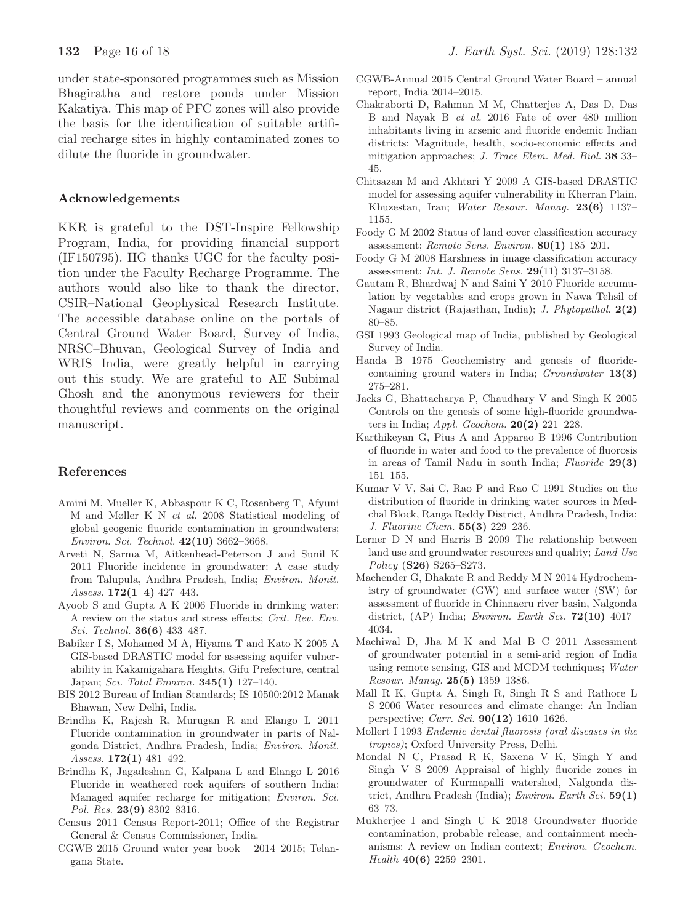under state-sponsored programmes such as Mission Bhagiratha and restore ponds under Mission Kakatiya. This map of PFC zones will also provide the basis for the identification of suitable artificial recharge sites in highly contaminated zones to dilute the fluoride in groundwater.

# **Acknowledgements**

KKR is grateful to the DST-Inspire Fellowship Program, India, for providing financial support (IF150795). HG thanks UGC for the faculty position under the Faculty Recharge Programme. The authors would also like to thank the director, CSIR–National Geophysical Research Institute. The accessible database online on the portals of Central Ground Water Board, Survey of India, NRSC–Bhuvan, Geological Survey of India and WRIS India, were greatly helpful in carrying out this study. We are grateful to AE Subimal Ghosh and the anonymous reviewers for their thoughtful reviews and comments on the original manuscript.

# **References**

- Amini M, Mueller K, Abbaspour K C, Rosenberg T, Afyuni M and Møller K N et al. 2008 Statistical modeling of global geogenic fluoride contamination in groundwaters; Environ. Sci. Technol. **42(10)** 3662–3668.
- Arveti N, Sarma M, Aitkenhead-Peterson J and Sunil K 2011 Fluoride incidence in groundwater: A case study from Talupula, Andhra Pradesh, India; Environ. Monit. Assess. **172(1–4)** 427–443.
- Ayoob S and Gupta A K 2006 Fluoride in drinking water: A review on the status and stress effects; Crit. Rev. Env. Sci. Technol. **36(6)** 433–487.
- Babiker I S, Mohamed M A, Hiyama T and Kato K 2005 A GIS-based DRASTIC model for assessing aquifer vulnerability in Kakamigahara Heights, Gifu Prefecture, central Japan; Sci. Total Environ. **345(1)** 127–140.
- BIS 2012 Bureau of Indian Standards; IS 10500:2012 Manak Bhawan, New Delhi, India.
- Brindha K, Rajesh R, Murugan R and Elango L 2011 Fluoride contamination in groundwater in parts of Nalgonda District, Andhra Pradesh, India; Environ. Monit. Assess. **172(1)** 481–492.
- Brindha K, Jagadeshan G, Kalpana L and Elango L 2016 Fluoride in weathered rock aquifers of southern India: Managed aquifer recharge for mitigation; Environ. Sci. Pol. Res. **23(9)** 8302–8316.
- Census 2011 Census Report-2011; Office of the Registrar General & Census Commissioner, India.
- CGWB 2015 Ground water year book 2014–2015; Telangana State.
- CGWB-Annual 2015 Central Ground Water Board annual report, India 2014–2015.
- Chakraborti D, Rahman M M, Chatterjee A, Das D, Das B and Nayak B et al. 2016 Fate of over 480 million inhabitants living in arsenic and fluoride endemic Indian districts: Magnitude, health, socio-economic effects and mitigation approaches; J. Trace Elem. Med. Biol. **38** 33– 45.
- Chitsazan M and Akhtari Y 2009 A GIS-based DRASTIC model for assessing aquifer vulnerability in Kherran Plain, Khuzestan, Iran; Water Resour. Manag. **23(6)** 1137– 1155.
- Foody G M 2002 Status of land cover classification accuracy assessment; Remote Sens. Environ. **80(1)** 185–201.
- Foody G M 2008 Harshness in image classification accuracy assessment; Int. J. Remote Sens. **29**(11) 3137–3158.
- Gautam R, Bhardwaj N and Saini Y 2010 Fluoride accumulation by vegetables and crops grown in Nawa Tehsil of Nagaur district (Rajasthan, India); J. Phytopathol. **2(2)** 80–85.
- GSI 1993 Geological map of India, published by Geological Survey of India.
- Handa B 1975 Geochemistry and genesis of fluoridecontaining ground waters in India; Groundwater **13(3)** 275–281.
- Jacks G, Bhattacharya P, Chaudhary V and Singh K 2005 Controls on the genesis of some high-fluoride groundwaters in India; Appl. Geochem. **20(2)** 221–228.
- Karthikeyan G, Pius A and Apparao B 1996 Contribution of fluoride in water and food to the prevalence of fluorosis in areas of Tamil Nadu in south India; Fluoride **29(3)** 151–155.
- Kumar V V, Sai C, Rao P and Rao C 1991 Studies on the distribution of fluoride in drinking water sources in Medchal Block, Ranga Reddy District, Andhra Pradesh, India; J. Fluorine Chem. **55(3)** 229–236.
- Lerner D N and Harris B 2009 The relationship between land use and groundwater resources and quality; Land Use Policy (**S26**) S265–S273.
- Machender G, Dhakate R and Reddy M N 2014 Hydrochemistry of groundwater (GW) and surface water (SW) for assessment of fluoride in Chinnaeru river basin, Nalgonda district, (AP) India; Environ. Earth Sci. **72(10)** 4017– 4034.
- Machiwal D, Jha M K and Mal B C 2011 Assessment of groundwater potential in a semi-arid region of India using remote sensing, GIS and MCDM techniques; Water Resour. Manag. **25(5)** 1359–1386.
- Mall R K, Gupta A, Singh R, Singh R S and Rathore L S 2006 Water resources and climate change: An Indian perspective; Curr. Sci. **90(12)** 1610–1626.
- Mollert I 1993 Endemic dental fluorosis (oral diseases in the tropics); Oxford University Press, Delhi.
- Mondal N C, Prasad R K, Saxena V K, Singh Y and Singh V S 2009 Appraisal of highly fluoride zones in groundwater of Kurmapalli watershed, Nalgonda district, Andhra Pradesh (India); Environ. Earth Sci. **59(1)** 63–73.
- Mukherjee I and Singh U K 2018 Groundwater fluoride contamination, probable release, and containment mechanisms: A review on Indian context; Environ. Geochem. Health **40(6)** 2259–2301.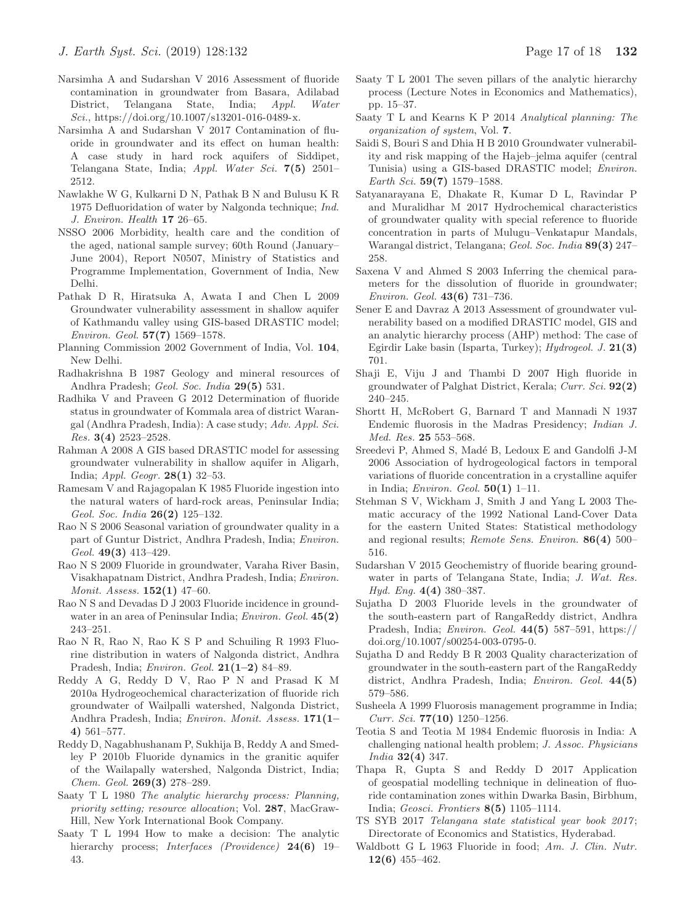- Narsimha A and Sudarshan V 2016 Assessment of fluoride contamination in groundwater from Basara, Adilabad District, Telangana State, India; Appl. Water Sci., https://doi.org/10.1007/s13201-016-0489-x.
- Narsimha A and Sudarshan V 2017 Contamination of fluoride in groundwater and its effect on human health: A case study in hard rock aquifers of Siddipet, Telangana State, India; Appl. Water Sci. **7(5)** 2501– 2512.
- Nawlakhe W G, Kulkarni D N, Pathak B N and Bulusu K R 1975 Defluoridation of water by Nalgonda technique; Ind. J. Environ. Health **17** 26–65.
- NSSO 2006 Morbidity, health care and the condition of the aged, national sample survey; 60th Round (January– June 2004), Report N0507, Ministry of Statistics and Programme Implementation, Government of India, New Delhi.
- Pathak D R, Hiratsuka A, Awata I and Chen L 2009 Groundwater vulnerability assessment in shallow aquifer of Kathmandu valley using GIS-based DRASTIC model; Environ. Geol. **57(7)** 1569–1578.
- Planning Commission 2002 Government of India, Vol. **104**, New Delhi.
- Radhakrishna B 1987 Geology and mineral resources of Andhra Pradesh; Geol. Soc. India **29(5)** 531.
- Radhika V and Praveen G 2012 Determination of fluoride status in groundwater of Kommala area of district Warangal (Andhra Pradesh, India): A case study; Adv. Appl. Sci. Res. **3(4)** 2523–2528.
- Rahman A 2008 A GIS based DRASTIC model for assessing groundwater vulnerability in shallow aquifer in Aligarh, India; Appl. Geogr. **28(1)** 32–53.
- Ramesam V and Rajagopalan K 1985 Fluoride ingestion into the natural waters of hard-rock areas, Peninsular India; Geol. Soc. India **26(2)** 125–132.
- Rao N S 2006 Seasonal variation of groundwater quality in a part of Guntur District, Andhra Pradesh, India; Environ. Geol. **49(3)** 413–429.
- Rao N S 2009 Fluoride in groundwater, Varaha River Basin, Visakhapatnam District, Andhra Pradesh, India; Environ. Monit. Assess. **152(1)** 47–60.
- Rao N S and Devadas D J 2003 Fluoride incidence in groundwater in an area of Peninsular India; Environ. Geol. **45(2)** 243–251.
- Rao N R, Rao N, Rao K S P and Schuiling R 1993 Fluorine distribution in waters of Nalgonda district, Andhra Pradesh, India; Environ. Geol. **21(1–2)** 84–89.
- Reddy A G, Reddy D V, Rao P N and Prasad K M 2010a Hydrogeochemical characterization of fluoride rich groundwater of Wailpalli watershed, Nalgonda District, Andhra Pradesh, India; Environ. Monit. Assess. **171(1– 4)** 561–577.
- Reddy D, Nagabhushanam P, Sukhija B, Reddy A and Smedley P 2010b Fluoride dynamics in the granitic aquifer of the Wailapally watershed, Nalgonda District, India; Chem. Geol. **269(3)** 278–289.
- Saaty T L 1980 The analytic hierarchy process: Planning, priority setting; resource allocation; Vol. **287**, MacGraw-Hill, New York International Book Company.
- Saaty T L 1994 How to make a decision: The analytic hierarchy process; Interfaces (Providence) **24(6)** 19– 43.
- Saaty T L 2001 The seven pillars of the analytic hierarchy process (Lecture Notes in Economics and Mathematics), pp. 15–37.
- Saaty T L and Kearns K P 2014 Analytical planning: The organization of system, Vol. **7**.
- Saidi S, Bouri S and Dhia H B 2010 Groundwater vulnerability and risk mapping of the Hajeb–jelma aquifer (central Tunisia) using a GIS-based DRASTIC model; Environ. Earth Sci. **59(7)** 1579–1588.
- Satyanarayana E, Dhakate R, Kumar D L, Ravindar P and Muralidhar M 2017 Hydrochemical characteristics of groundwater quality with special reference to fluoride concentration in parts of Mulugu–Venkatapur Mandals, Warangal district, Telangana; Geol. Soc. India **89(3)** 247– 258.
- Saxena V and Ahmed S 2003 Inferring the chemical parameters for the dissolution of fluoride in groundwater; Environ. Geol. **43(6)** 731–736.
- Sener E and Davraz A 2013 Assessment of groundwater vulnerability based on a modified DRASTIC model, GIS and an analytic hierarchy process (AHP) method: The case of Egirdir Lake basin (Isparta, Turkey); Hydrogeol. J. **21(3)** 701.
- Shaji E, Viju J and Thambi D 2007 High fluoride in groundwater of Palghat District, Kerala; Curr. Sci. **92(2)** 240–245.
- Shortt H, McRobert G, Barnard T and Mannadi N 1937 Endemic fluorosis in the Madras Presidency; Indian J. Med. Res. **25** 553–568.
- Sreedevi P, Ahmed S, Madé B, Ledoux E and Gandolfi J-M 2006 Association of hydrogeological factors in temporal variations of fluoride concentration in a crystalline aquifer in India; Environ. Geol. **50(1)** 1–11.
- Stehman S V, Wickham J, Smith J and Yang L 2003 Thematic accuracy of the 1992 National Land-Cover Data for the eastern United States: Statistical methodology and regional results; Remote Sens. Environ. **86(4)** 500– 516.
- Sudarshan V 2015 Geochemistry of fluoride bearing groundwater in parts of Telangana State, India; J. Wat. Res. Hyd. Eng. **4(4)** 380–387.
- Sujatha D 2003 Fluoride levels in the groundwater of the south-eastern part of RangaReddy district, Andhra Pradesh, India; Environ. Geol. **44(5)** 587–591, https:// doi.org/10.1007/s00254-003-0795-0.
- Sujatha D and Reddy B R 2003 Quality characterization of groundwater in the south-eastern part of the RangaReddy district, Andhra Pradesh, India; Environ. Geol. **44(5)** 579–586.
- Susheela A 1999 Fluorosis management programme in India; Curr. Sci. **77(10)** 1250–1256.
- Teotia S and Teotia M 1984 Endemic fluorosis in India: A challenging national health problem; J. Assoc. Physicians India **32(4)** 347.
- Thapa R, Gupta S and Reddy D 2017 Application of geospatial modelling technique in delineation of fluoride contamination zones within Dwarka Basin, Birbhum, India; Geosci. Frontiers **8(5)** 1105–1114.
- TS SYB 2017 Telangana state statistical year book 2017 ; Directorate of Economics and Statistics, Hyderabad.
- Waldbott G L 1963 Fluoride in food; Am. J. Clin. Nutr. **12(6)** 455–462.